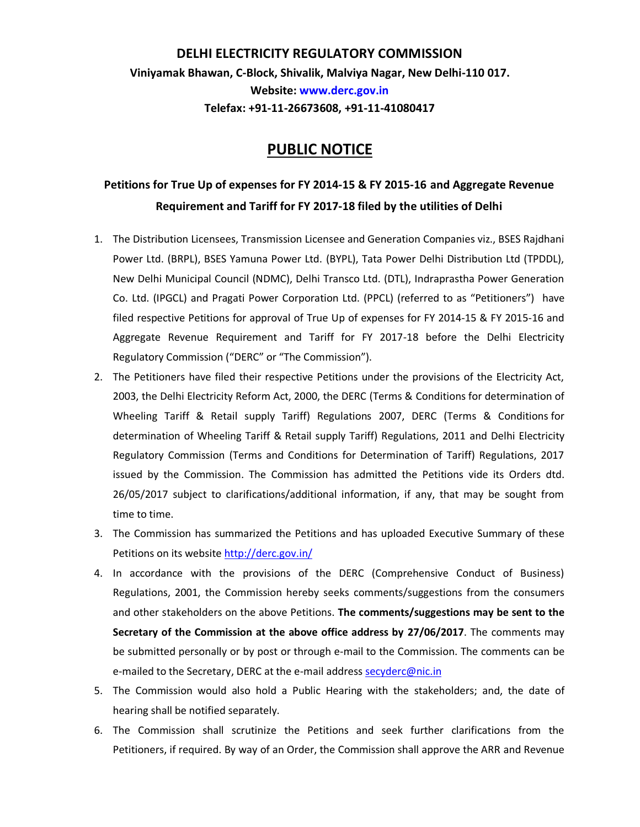## **DELHI ELECTRICITY REGULATORY COMMISSION Viniyamak Bhawan, C-Block, Shivalik, Malviya Nagar, New Delhi-110 017. Website: www.derc.gov.in Telefax: +91-11-26673608, +91-11-41080417**

## **PUBLIC NOTICE**

## **Petitions for True Up of expenses for FY 2014-15 & FY 2015-16 and Aggregate Revenue Requirement and Tariff for FY 2017-18 filed by the utilities of Delhi**

- 1. The Distribution Licensees, Transmission Licensee and Generation Companies viz., BSES Rajdhani Power Ltd. (BRPL), BSES Yamuna Power Ltd. (BYPL), Tata Power Delhi Distribution Ltd (TPDDL), New Delhi Municipal Council (NDMC), Delhi Transco Ltd. (DTL), Indraprastha Power Generation Co. Ltd. (IPGCL) and Pragati Power Corporation Ltd. (PPCL) (referred to as "Petitioners") have filed respective Petitions for approval of True Up of expenses for FY 2014-15 & FY 2015-16 and Aggregate Revenue Requirement and Tariff for FY 2017-18 before the Delhi Electricity Regulatory Commission ("DERC" or "The Commission").
- 2. The Petitioners have filed their respective Petitions under the provisions of the Electricity Act, 2003, the Delhi Electricity Reform Act, 2000, the DERC (Terms & Conditions for determination of Wheeling Tariff & Retail supply Tariff) Regulations 2007, DERC (Terms & Conditions for determination of Wheeling Tariff & Retail supply Tariff) Regulations, 2011 and Delhi Electricity Regulatory Commission (Terms and Conditions for Determination of Tariff) Regulations, 2017 issued by the Commission. The Commission has admitted the Petitions vide its Orders dtd. 26/05/2017 subject to clarifications/additional information, if any, that may be sought from time to time.
- 3. The Commission has summarized the Petitions and has uploaded Executive Summary of these Petitions on its websit[e http://derc.gov.in/](http://derc.gov.in/)
- 4. In accordance with the provisions of the DERC (Comprehensive Conduct of Business) Regulations, 2001, the Commission hereby seeks comments/suggestions from the consumers and other stakeholders on the above Petitions. **The comments/suggestions may be sent to the Secretary of the Commission at the above office address by 27/06/2017**. The comments may be submitted personally or by post or through e-mail to the Commission. The comments can be e-mailed to the Secretary, DERC at the e-mail addres[s secyderc@nic.in](mailto:secyderc@nic.in)
- 5. The Commission would also hold a Public Hearing with the stakeholders; and, the date of hearing shall be notified separately.
- 6. The Commission shall scrutinize the Petitions and seek further clarifications from the Petitioners, if required. By way of an Order, the Commission shall approve the ARR and Revenue